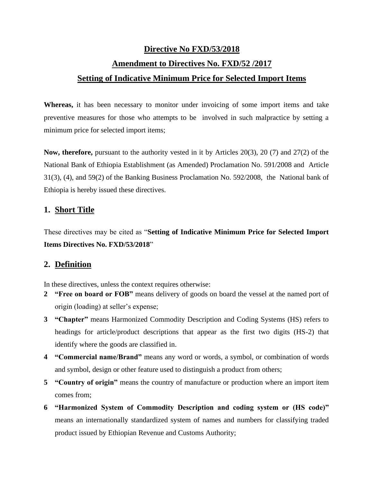#### **Directive No FXD/53/2018**

# **Amendment to Directives No. FXD/52 /2017**

# **Setting of Indicative Minimum Price for Selected Import Items**

**Whereas,** it has been necessary to monitor under invoicing of some import items and take preventive measures for those who attempts to be involved in such malpractice by setting a minimum price for selected import items;

**Now, therefore,** pursuant to the authority vested in it by Articles 20(3), 20 (7) and 27(2) of the National Bank of Ethiopia Establishment (as Amended) Proclamation No. 591/2008 and Article 31(3), (4), and 59(2) of the Banking Business Proclamation No. 592/2008, the National bank of Ethiopia is hereby issued these directives.

## **1. Short Title**

These directives may be cited as "**Setting of Indicative Minimum Price for Selected Import Items Directives No. FXD/53/2018**"

# **2. Definition**

In these directives, unless the context requires otherwise:

- **2 "Free on board or FOB"** means delivery of goods on board the vessel at the named port of origin (loading) at seller's expense;
- **3 "Chapter"** means Harmonized Commodity Description and Coding Systems (HS) refers to headings for article/product descriptions that appear as the first two digits (HS-2) that identify where the goods are classified in.
- **4 "Commercial name/Brand"** means any word or words, a symbol, or combination of words and symbol, design or other feature used to distinguish a product from others;
- **5 "Country of origin"** means the country of manufacture or production where an import item comes from;
- **6 "Harmonized System of Commodity Description and coding system or (HS code)"**  means an internationally standardized system of names and numbers for classifying traded product issued by Ethiopian Revenue and Customs Authority;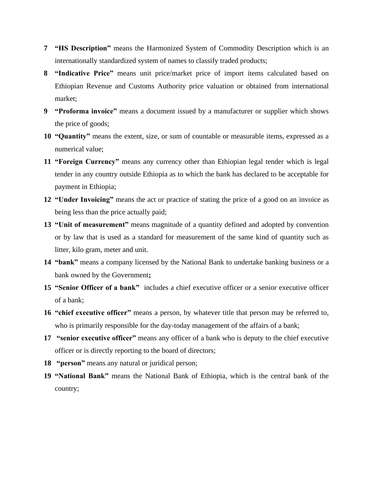- **7 "HS Description"** means the Harmonized System of Commodity Description which is an internationally standardized system of names to classify traded products;
- **8 "Indicative Price"** means unit price/market price of import items calculated based on Ethiopian Revenue and Customs Authority price valuation or obtained from international market;
- **9 "Proforma invoice"** means a document issued by a manufacturer or supplier which shows the price of goods;
- **10 "Quantity"** means the extent, size, or sum of countable or measurable items, expressed as a numerical value;
- **11 "Foreign Currency"** means any currency other than Ethiopian legal tender which is legal tender in any country outside Ethiopia as to which the bank has declared to be acceptable for payment in Ethiopia;
- **12 "Under Invoicing"** means the act or practice of stating the price of a good on an invoice as being less than the price actually paid;
- **13 "Unit of measurement"** means magnitude of a quantity defined and adopted by convention or by law that is used as a standard for measurement of the same kind of quantity such as litter, kilo gram, meter and unit.
- **14 "bank"** means a company licensed by the National Bank to undertake banking business or a bank owned by the Government**;**
- **15 "Senior Officer of a bank"** includes a chief executive officer or a senior executive officer of a bank;
- **16 "chief executive officer"** means a person, by whatever title that person may be referred to, who is primarily responsible for the day-today management of the affairs of a bank;
- **17 "senior executive officer"** means any officer of a bank who is deputy to the chief executive officer or is directly reporting to the board of directors;
- **18 "person"** means any natural or juridical person;
- **19 "National Bank"** means the National Bank of Ethiopia, which is the central bank of the country;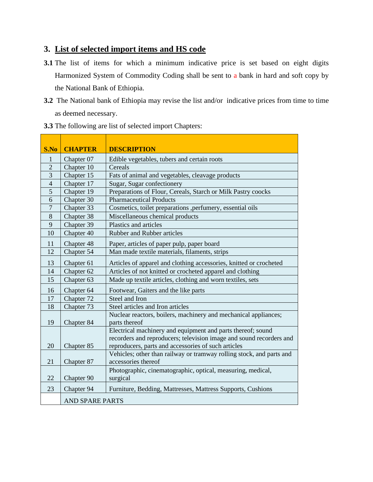# **3. List of selected import items and HS code**

- **3.1** The list of items for which a minimum indicative price is set based on eight digits Harmonized System of Commodity Coding shall be sent to a bank in hard and soft copy by the National Bank of Ethiopia.
- **3.2** The National bank of Ethiopia may revise the list and/or indicative prices from time to time as deemed necessary.

| S.No           | <b>CHAPTER</b>         | <b>DESCRIPTION</b>                                                   |
|----------------|------------------------|----------------------------------------------------------------------|
| $\mathbf{1}$   | Chapter 07             | Edible vegetables, tubers and certain roots                          |
| $\overline{2}$ | Chapter 10             | Cereals                                                              |
| $\mathfrak{Z}$ | Chapter 15             | Fats of animal and vegetables, cleavage products                     |
| $\overline{4}$ | Chapter 17             | Sugar, Sugar confectionery                                           |
| $\overline{5}$ | Chapter 19             | Preparations of Flour, Cereals, Starch or Milk Pastry coocks         |
| 6              | Chapter 30             | <b>Pharmaceutical Products</b>                                       |
| $\overline{7}$ | Chapter 33             | Cosmetics, toilet preparations ,perfumery, essential oils            |
| 8              | Chapter 38             | Miscellaneous chemical products                                      |
| 9              | Chapter 39             | Plastics and articles                                                |
| 10             | Chapter 40             | <b>Rubber and Rubber articles</b>                                    |
| 11             | Chapter 48             | Paper, articles of paper pulp, paper board                           |
| 12             | Chapter 54             | Man made textile materials, filaments, strips                        |
|                |                        |                                                                      |
| 13             | Chapter 61             | Articles of apparel and clothing accessories, knitted or crocheted   |
| 14             | Chapter 62             | Articles of not knitted or crocheted apparel and clothing            |
| 15             | Chapter 63             | Made up textile articles, clothing and worn textiles, sets           |
| 16             | Chapter 64             | Footwear, Gaiters and the like parts                                 |
| 17             | Chapter 72             | Steel and Iron                                                       |
| 18             | Chapter 73             | Steel articles and Iron articles                                     |
|                |                        | Nuclear reactors, boilers, machinery and mechanical appliances;      |
| 19             | Chapter 84             | parts thereof                                                        |
|                |                        | Electrical machinery and equipment and parts thereof; sound          |
|                |                        | recorders and reproducers; television image and sound recorders and  |
| 20             | Chapter 85             | reproducers, parts and accessories of such articles                  |
|                |                        | Vehicles; other than railway or tramway rolling stock, and parts and |
| 21             | Chapter 87             | accessories thereof                                                  |
|                |                        | Photographic, cinematographic, optical, measuring, medical,          |
| 22             | Chapter 90             | surgical                                                             |
| 23             | Chapter 94             | Furniture, Bedding, Mattresses, Mattress Supports, Cushions          |
|                | <b>AND SPARE PARTS</b> |                                                                      |

**3.3** The following are list of selected import Chapters: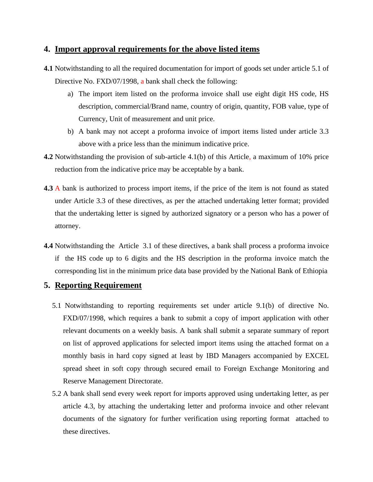#### **4. Import approval requirements for the above listed items**

- **4.1** Notwithstanding to all the required documentation for import of goods set under article 5.1 of Directive No. FXD/07/1998, a bank shall check the following:
	- a) The import item listed on the proforma invoice shall use eight digit HS code, HS description, commercial/Brand name, country of origin, quantity, FOB value, type of Currency, Unit of measurement and unit price.
	- b) A bank may not accept a proforma invoice of import items listed under article 3.3 above with a price less than the minimum indicative price.
- **4.2** Notwithstanding the provision of sub-article 4.1(b) of this Article, a maximum of 10% price reduction from the indicative price may be acceptable by a bank.
- **4.3** A bank is authorized to process import items, if the price of the item is not found as stated under Article 3.3 of these directives, as per the attached undertaking letter format; provided that the undertaking letter is signed by authorized signatory or a person who has a power of attorney.
- **4.4** Notwithstanding the Article 3.1 of these directives, a bank shall process a proforma invoice if the HS code up to 6 digits and the HS description in the proforma invoice match the corresponding list in the minimum price data base provided by the National Bank of Ethiopia

#### **5. Reporting Requirement**

- 5.1 Notwithstanding to reporting requirements set under article 9.1(b) of directive No. FXD/07/1998, which requires a bank to submit a copy of import application with other relevant documents on a weekly basis. A bank shall submit a separate summary of report on list of approved applications for selected import items using the attached format on a monthly basis in hard copy signed at least by IBD Managers accompanied by EXCEL spread sheet in soft copy through secured email to Foreign Exchange Monitoring and Reserve Management Directorate.
- 5.2 A bank shall send every week report for imports approved using undertaking letter, as per article 4.3, by attaching the undertaking letter and proforma invoice and other relevant documents of the signatory for further verification using reporting format attached to these directives.